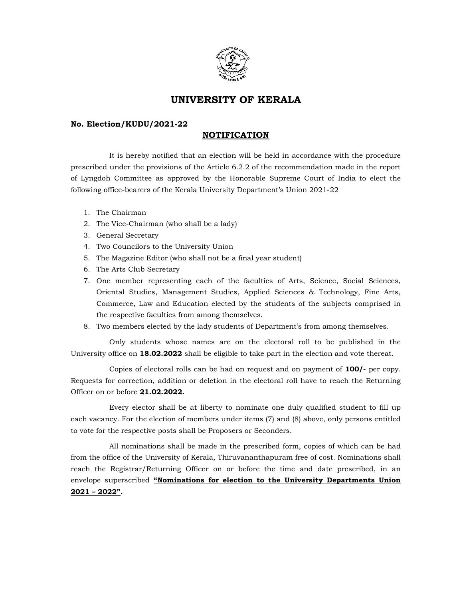

# UNIVERSITY OF KERALA

### No. Election/KUDU/2021-22

## **NOTIFICATION**

 It is hereby notified that an election will be held in accordance with the procedure prescribed under the provisions of the Article 6.2.2 of the recommendation made in the report of Lyngdoh Committee as approved by the Honorable Supreme Court of India to elect the following office-bearers of the Kerala University Department's Union 2021-22

- 1. The Chairman
- 2. The Vice-Chairman (who shall be a lady)
- 3. General Secretary
- 4. Two Councilors to the University Union
- 5. The Magazine Editor (who shall not be a final year student)
- 6. The Arts Club Secretary
- 7. One member representing each of the faculties of Arts, Science, Social Sciences, Oriental Studies, Management Studies, Applied Sciences & Technology, Fine Arts, Commerce, Law and Education elected by the students of the subjects comprised in the respective faculties from among themselves.
- 8. Two members elected by the lady students of Department's from among themselves.

 Only students whose names are on the electoral roll to be published in the University office on 18.02.2022 shall be eligible to take part in the election and vote thereat.

 Copies of electoral rolls can be had on request and on payment of 100/- per copy. Requests for correction, addition or deletion in the electoral roll have to reach the Returning Officer on or before 21.02.2022.

 Every elector shall be at liberty to nominate one duly qualified student to fill up each vacancy. For the election of members under items (7) and (8) above, only persons entitled to vote for the respective posts shall be Proposers or Seconders.

 All nominations shall be made in the prescribed form, copies of which can be had from the office of the University of Kerala, Thiruvananthapuram free of cost. Nominations shall reach the Registrar/Returning Officer on or before the time and date prescribed, in an envelope superscribed "Nominations for election to the University Departments Union 2021 – 2022".